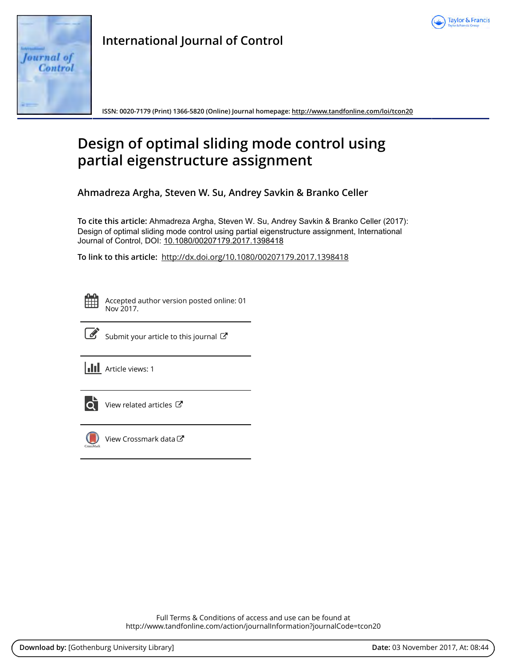



**ISSN: 0020-7179 (Print) 1366-5820 (Online) Journal homepage:<http://www.tandfonline.com/loi/tcon20>**

# **Design of optimal sliding mode control using partial eigenstructure assignment**

**Ahmadreza Argha, Steven W. Su, Andrey Savkin & Branko Celler**

**To cite this article:** Ahmadreza Argha, Steven W. Su, Andrey Savkin & Branko Celler (2017): Design of optimal sliding mode control using partial eigenstructure assignment, International Journal of Control, DOI: [10.1080/00207179.2017.1398418](http://www.tandfonline.com/action/showCitFormats?doi=10.1080/00207179.2017.1398418)

**To link to this article:** <http://dx.doi.org/10.1080/00207179.2017.1398418>

Accepted author version posted online: 01 Nov 2017.



 $\overrightarrow{S}$  [Submit your article to this journal](http://www.tandfonline.com/action/authorSubmission?journalCode=tcon20&show=instructions)  $\overrightarrow{S}$ 

**III** Article views: 1



 $\overline{Q}$  [View related articles](http://www.tandfonline.com/doi/mlt/10.1080/00207179.2017.1398418)  $\mathbb{Z}$ 



 $\bigcirc$  [View Crossmark data](http://crossmark.crossref.org/dialog/?doi=10.1080/00207179.2017.1398418&domain=pdf&date_stamp=2017-11-01) $\mathbb{Z}$ 

Full Terms & Conditions of access and use can be found at <http://www.tandfonline.com/action/journalInformation?journalCode=tcon20>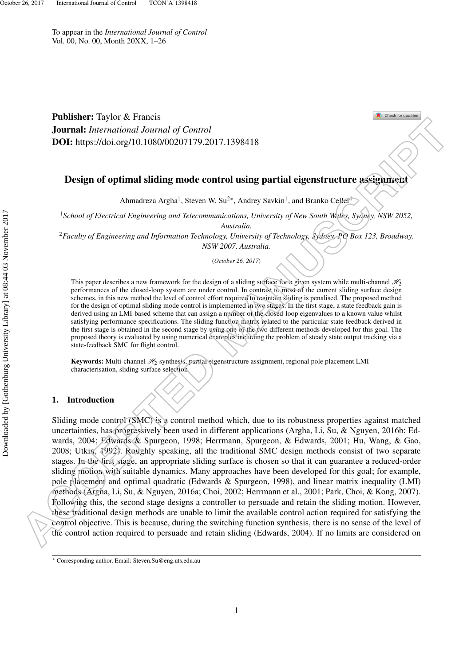To appear in the *International Journal of Control* Vol. 00, No. 00, Month 20XX, 1–26

**Publisher:** Taylor & Francis **Journal:** *International Journal of Control* **DOI:** https://doi.org/10.1080/00207179.2017.1398418

# **Design of optimal sliding mode control using partial eigenstructure assignment**

Check for updates

Ahmadreza Argha<sup>1</sup>, Steven W. Su<sup>2\*</sup>, Andrey Savkin<sup>1</sup>, and Branko Celler<sup>1</sup>

<sup>1</sup>*School of Electrical Engineering and Telecommunications, University of New South Wales, Sydney, NSW 2052, Australia.*

<sup>2</sup>*Faculty of Engineering and Information Technology, University of Technology, Sydney, PO Box 123, Broadway, NSW 2007, Australia.*

#### (*October 26, 2017*)

This paper describes a new framework for the design of a sliding surface for a given system while multi-channel  $H_2$ performances of the closed-loop system are under control. In contrast to most of the current sliding surface design schemes, in this new method the level of control effort required to maintain sliding is penalised. The proposed method for the design of optimal sliding mode control is implemented in two stages. In the first stage, a state feedback gain is derived using an LMI-based scheme that can assign a number of the closed-loop eigenvalues to a known value whilst satisfying performance specifications. The sliding function matrix related to the particular state feedback derived in the first stage is obtained in the second stage by using one of the two different methods developed for this goal. The proposed theory is evaluated by using numerical examples including the problem of steady state output tracking via a state-feedback SMC for flight control.

Keywords: Multi-channel  $\mathcal{H}_2$  synthesis, partial eigenstructure assignment, regional pole placement LMI characterisation, sliding surface selection.

## **1. Introduction**

Sliding mode control (SMC) is a control method which, due to its robustness properties against matched uncertainties, has progressively been used in different applications [\(Argha, Li, Su, & Nguyen, 2016b;](#page-16-0) [Ed](#page-16-1)[wards, 2004;](#page-16-1) [Edwards & Spurgeon, 1998;](#page-16-2) [Herrmann, Spurgeon, & Edwards, 2001;](#page-16-3) [Hu, Wang, & Gao,](#page-16-4) [2008;](#page-16-4) [Utkin, 1992\)](#page-17-0). Roughly speaking, all the traditional SMC design methods consist of two separate stages. In the first stage, an appropriate sliding surface is chosen so that it can guarantee a reduced-order sliding motion with suitable dynamics. Many approaches have been developed for this goal; for example, pole placement and optimal quadratic [\(Edwards & Spurgeon, 1998\)](#page-16-2), and linear matrix inequality (LMI) methods [\(Argha, Li, Su, & Nguyen, 2016a;](#page-16-5) [Choi, 2002;](#page-16-6) [Herrmann et al., 2001;](#page-16-3) [Park, Choi, & Kong, 2007\)](#page-16-7). Following this, the second stage designs a controller to persuade and retain the sliding motion. However, these traditional design methods are unable to limit the available control action required for satisfying the control objective. This is because, during the switching function synthesis, there is no sense of the level of the control action required to persuade and retain sliding [\(Edwards, 2004\)](#page-16-1). If no limits are considered on

<sup>∗</sup> Corresponding author. Email: Steven.Su@eng.uts.edu.au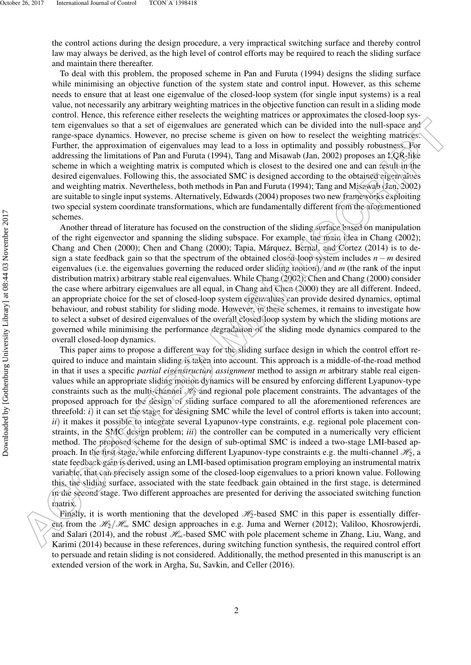the control actions during the design procedure, a very impractical switching surface and thereby control law may always be derived, as the high level of control efforts may be required to reach the sliding surface and maintain there thereafter.

To deal with this problem, the proposed scheme in [Pan and Furuta](#page-16-8) [\(1994\)](#page-16-8) designs the sliding surface while minimising an objective function of the system state and control input. However, as this scheme needs to ensure that at least one eigenvalue of the closed-loop system (for single input systems) is a real value, not necessarily any arbitrary weighting matrices in the objective function can result in a sliding mode control. Hence, this reference either reselects the weighting matrices or approximates the closed-loop system eigenvalues so that a set of eigenvalues are generated which can be divided into the null-space and range-space dynamics. However, no precise scheme is given on how to reselect the weighting matrices. Further, the approximation of eigenvalues may lead to a loss in optimality and possibly robustness. For addressing the limitations of [Pan and Furuta](#page-16-8) [\(1994\)](#page-16-8), [Tang and Misawab](#page-17-1) [\(Jan, 2002\)](#page-17-1) proposes an LQR-like scheme in which a weighting matrix is computed which is closest to the desired one and can result in the desired eigenvalues. Following this, the associated SMC is designed according to the obtained eigenvalues and weighting matrix. Nevertheless, both methods in [Pan and Furuta](#page-16-8) [\(1994\)](#page-16-8); [Tang and Misawab](#page-17-1) [\(Jan, 2002\)](#page-17-1) are suitable to single input systems. Alternatively, [Edwards](#page-16-1) [\(2004\)](#page-16-1) proposes two new frameworks exploiting two special system coordinate transformations, which are fundamentally different from the aforementioned schemes.

Another thread of literature has focused on the construction of the sliding surface based on manipulation of the right eigenvector and spanning the sliding subspace. For example, the main idea in [Chang](#page-16-9) [\(2002\)](#page-16-9); [Chang and Chen](#page-16-10) [\(2000\)](#page-16-11); [Chen and Chang](#page-16-11) (2000); Tapia, Márquez, Bernal, and Cortez [\(2014\)](#page-17-2) is to design a state feedback gain so that the spectrum of the obtained closed-loop system includes *n*−*m* desired eigenvalues (i.e. the eigenvalues governing the reduced order sliding motion), and *m* (the rank of the input distribution matrix) arbitrary stable real eigenvalues. While [Chang](#page-16-9) [\(2002\)](#page-16-9); [Chen and Chang](#page-16-11) [\(2000\)](#page-16-11) consider the case where arbitrary eigenvalues are all equal, in [Chang and Chen](#page-16-10) [\(2000\)](#page-16-10) they are all different. Indeed, an appropriate choice for the set of closed-loop system eigenvalues can provide desired dynamics, optimal behaviour, and robust stability for sliding mode. However, in these schemes, it remains to investigate how to select a subset of desired eigenvalues of the overall closed-loop system by which the sliding motions are governed while minimising the performance degradation of the sliding mode dynamics compared to the overall closed-loop dynamics.

This paper aims to propose a different way for the sliding surface design in which the control effort required to induce and maintain sliding is taken into account. This approach is a middle-of-the-road method in that it uses a specific *partial eigenstructure assignment* method to assign *m* arbitrary stable real eigenvalues while an appropriate sliding motion dynamics will be ensured by enforcing different Lyapunov-type constraints such as the multi-channel  $\mathcal{H}_2$  and regional pole placement constraints. The advantages of the proposed approach for the design of sliding surface compared to all the aforementioned references are threefold: *i*) it can set the stage for designing SMC while the level of control efforts is taken into account; *ii*) it makes it possible to integrate several Lyapunov-type constraints, e.g. regional pole placement constraints, in the SMC design problem; *iii*) the controller can be computed in a numerically very efficient method. The proposed scheme for the design of sub-optimal SMC is indeed a two-stage LMI-based approach. In the first stage, while enforcing different Lyapunov-type constraints e.g. the multi-channel  $\mathcal{H}_2$ , a state feedback gain is derived, using an LMI-based optimisation program employing an instrumental matrix variable, that can precisely assign some of the closed-loop eigenvalues to a priori known value. Following this, the sliding surface, associated with the state feedback gain obtained in the first stage, is determined in the second stage. Two different approaches are presented for deriving the associated switching function matrix.

Finally, it is worth mentioning that the developed  $\mathcal{H}_2$ -based SMC in this paper is essentially different from the  $\mathcal{H}_2/\mathcal{H}_\infty$  SMC design approaches in e.g. [Juma and Werner](#page-16-12) [\(2012\)](#page-16-12); [Valiloo, Khosrowjerdi,](#page-17-3) [and Salari](#page-17-3) [\(2014\)](#page-17-3), and the robust  $\mathcal{H}_{\infty}$ -based SMC with pole placement scheme in [Zhang, Liu, Wang, and](#page-17-4) [Karimi](#page-17-4) [\(2014\)](#page-17-4) because in these references, during switching function synthesis, the required control effort to persuade and retain sliding is not considered. Additionally, the method presented in this manuscript is an extended version of the work in [Argha, Su, Savkin, and Celler](#page-16-13) [\(2016\)](#page-16-13).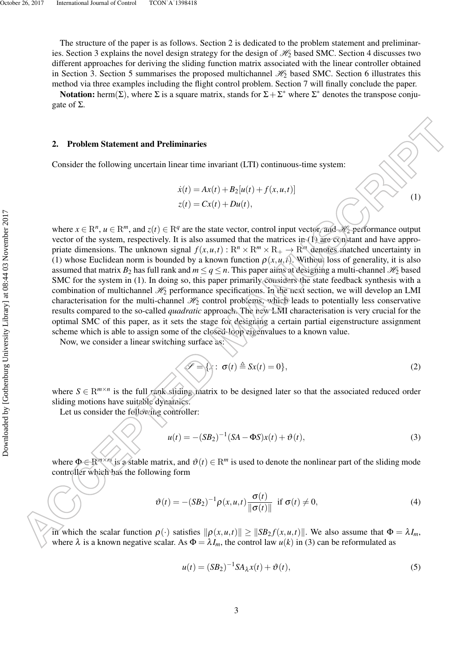The structure of the paper is as follows. Section [2](#page-3-0) is dedicated to the problem statement and preliminar-ies. Section [3](#page-4-0) explains the novel design strategy for the design of  $H_2$  based SMC. Section [4](#page-8-0) discusses two different approaches for deriving the sliding function matrix associated with the linear controller obtained in Section [3.](#page-4-0) Section [5](#page-9-0) summarises the proposed multichannel  $\mathcal{H}_2$  based SMC. Section [6](#page-10-0) illustrates this method via three examples including the flight control problem. Section [7](#page-15-0) will finally conclude the paper.

**Notation:** herm( $\Sigma$ ), where  $\Sigma$  is a square matrix, stands for  $\Sigma + \Sigma^*$  where  $\Sigma^*$  denotes the transpose conjugate of Σ.

### <span id="page-3-0"></span>**2. Problem Statement and Preliminaries**

Consider the following uncertain linear time invariant (LTI) continuous-time system:

<span id="page-3-1"></span>
$$
\dot{x}(t) = Ax(t) + B_2[u(t) + f(x, u, t)]
$$
  

$$
z(t) = Cx(t) + Du(t),
$$

where  $x \in \mathbb{R}^n$ ,  $u \in \mathbb{R}^m$ , and  $z(t) \in \mathbb{R}^q$  are the state vector, control input vector, and  $\mathcal{H}_2$  performance output vector of the system, respectively. It is also assumed that the matrices in [\(1\)](#page-3-1) are constant and have appropriate dimensions. The unknown signal  $f(x, u, t) : \mathbb{R}^n \times \mathbb{R}^m \times \mathbb{R}_+ \to \mathbb{R}^m$  denotes matched uncertainty in [\(1\)](#page-3-1) whose Euclidean norm is bounded by a known function  $\rho(x, u, \lambda)$ . Without loss of generality, it is also assumed that matrix  $B_2$  has full rank and  $m \leq q \leq n$ . This paper aims at designing a multi-channel  $\mathcal{H}_2$  based SMC for the system in [\(1\)](#page-3-1). In doing so, this paper primarily considers the state feedback synthesis with a combination of multichannel  $\mathcal{H}_2$  performance specifications. In the next section, we will develop an LMI characterisation for the multi-channel  $\mathcal{H}_2$  control problems, which leads to potentially less conservative results compared to the so-called *quadratic* approach. The new LMI characterisation is very crucial for the optimal SMC of this paper, as it sets the stage for designing a certain partial eigenstructure assignment scheme which is able to assign some of the closed-loop eigenvalues to a known value.

Now, we consider a linear switching surface as:

<span id="page-3-5"></span>
$$
\mathscr{L} = \{x : \sigma(t) \triangleq Sx(t) = 0\},\tag{2}
$$

<span id="page-3-2"></span>(1)

where  $S \in \mathbb{R}^{m \times n}$  is the full rank sliding matrix to be designed later so that the associated reduced order sliding motions have suitable dynamics.

Let us consider the following controller:

$$
u(t) = -(SB_2)^{-1}(SA - \Phi S)x(t) + \vartheta(t),
$$
\n(3)

where  $\Phi \in \mathbb{R}^{m \times n}$  is a stable matrix, and  $\vartheta(t) \in \mathbb{R}^m$  is used to denote the nonlinear part of the sliding mode controller which has the following form

$$
\vartheta(t) = -(SB_2)^{-1} \rho(x, u, t) \frac{\sigma(t)}{\|\sigma(t)\|} \text{ if } \sigma(t) \neq 0,
$$
\n(4)

in which the scalar function  $\rho(\cdot)$  satisfies  $\|\rho(x, u, t)\| \geq \|SB_2 f(x, u, t)\|$ . We also assume that  $\Phi = \lambda I_m$ , where  $\lambda$  is a known negative scalar. As  $\Phi = \lambda I_m$ , the control law  $u(k)$  in [\(3\)](#page-3-2) can be reformulated as

<span id="page-3-4"></span><span id="page-3-3"></span>
$$
u(t) = (SB2)-1 SA\lambda x(t) + \vartheta(t),
$$
\n(5)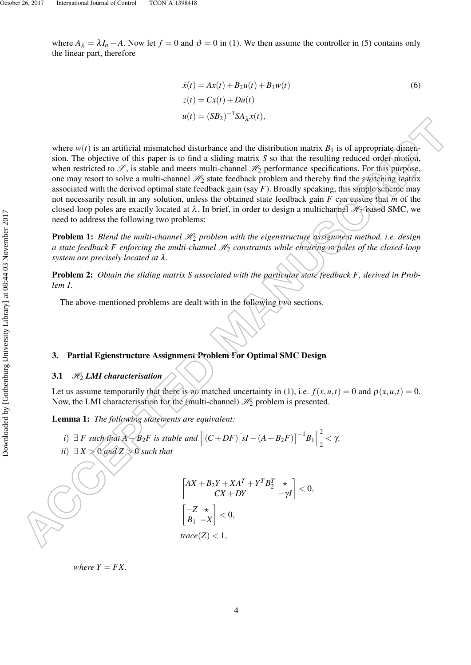where  $A_{\lambda} = \lambda I_n - A$ . Now let  $f = 0$  and  $\vartheta = 0$  in [\(1\)](#page-3-1). We then assume the controller in [\(5\)](#page-3-3) contains only the linear part, therefore

<span id="page-4-3"></span>
$$
\dot{x}(t) = Ax(t) + B_2u(t) + B_1w(t)
$$
  
\n
$$
z(t) = Cx(t) + Du(t)
$$
  
\n
$$
u(t) = (SB_2)^{-1}SA_{\lambda}x(t),
$$
\n(6)

where  $w(t)$  is an artificial mismatched disturbance and the distribution matrix  $B_1$  is of appropriate dimension. The objective of this paper is to find a sliding matrix *S* so that the resulting reduced order motion, when restricted to  $\mathscr{S}$ , is stable and meets multi-channel  $\mathscr{H}_2$  performance specifications. For this purpose, one may resort to solve a multi-channel  $\mathcal{H}_2$  state feedback problem and thereby find the switching matrix associated with the derived optimal state feedback gain (say *F*). Broadly speaking, this simple scheme may not necessarily result in any solution, unless the obtained state feedback gain *F* can ensure that *m* of the closed-loop poles are exactly located at  $\lambda$ . In brief, in order to design a multichannel  $\mathcal{H}_2$ -based SMC, we need to address the following two problems:

<span id="page-4-1"></span>**Problem 1:** *Blend the multi-channel*  $H_2$  *problem with the eigenstructure assignment method, i.e. design a state feedback F enforcing the multi-channel*  $H_2$  *constraints while ensuring m poles of the closed-loop system are precisely located at* λ*.*

**Problem 2:** *Obtain the sliding matrix S associated with the particular state feedback F, derived in Problem [1.](#page-4-1)*

The above-mentioned problems are dealt with in the following two sections.

# <span id="page-4-0"></span>**3. Partial Egienstructure Assignment Problem For Optimal SMC Design**

## **3.1** *H*<sub>2</sub> *LMI* characterisation

Let us assume temporarily that there is no matched uncertainty in [\(1\)](#page-3-1), i.e.  $f(x, u, t) = 0$  and  $\rho(x, u, t) = 0$ . Now, the LMI characterisation for the (multi-channel)  $\mathcal{H}_2$  problem is presented.

<span id="page-4-2"></span>**Lemma 1:** *The following statements are equivalent:*

i) 
$$
\exists F \text{ such that } A + B_2F \text{ is stable and } \left\| (C + DF) \left[ sI - (A + B_2F) \right]^{-1} B_1 \right\|_2^2 < \gamma.
$$

*ii*)  $∃X$   $≥$  0 *and*  $Z$   $>$  0 *such that* 

$$
\begin{bmatrix} AX + B_2Y + XA^T + Y^T B_2^T & \star \\ CX + DY & -\gamma I \end{bmatrix} < 0,
$$
  

$$
\begin{bmatrix} -Z & \star \\ B_1 & -X \end{bmatrix} < 0,
$$
  
trace(Z) < 1,

*where*  $Y = FX$ .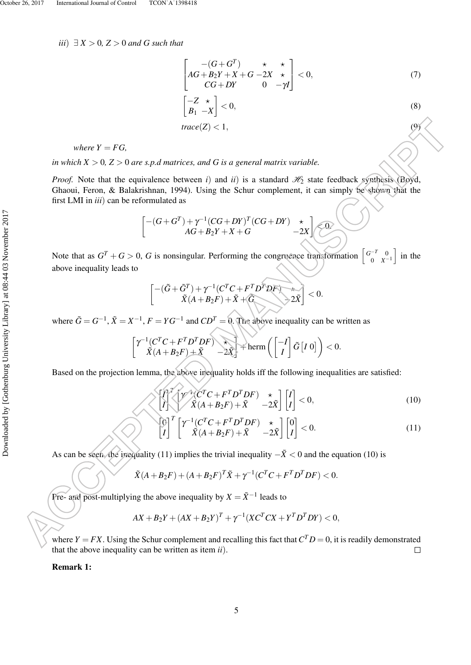*iii*) ∃  $X > 0$ ,  $Z > 0$  *and G such that* 

$$
\begin{bmatrix}\n-(G+G^T) & \star & \star \\
AG+B_2Y+X+G-2X & \star \\
CG+DY & 0 & -\gamma I\n\end{bmatrix} < 0,\n\tag{7}
$$
\n
$$
\begin{bmatrix}\n-Z & \star \\
P & Y < 0,\n\end{bmatrix} < 0,\n\tag{8}
$$

$$
trace(Z) < 1,\tag{9}
$$

<span id="page-5-4"></span><span id="page-5-3"></span><span id="page-5-2"></span>*B*<sup>1</sup> −*X*

*where*  $Y = FG$ ,

*in which*  $X > 0$ ,  $Z > 0$  *are s.p.d matrices, and* G *is a general matrix variable.* 

*Proof.* Note that the equivalence between *i*) and *ii*) is a standard  $\mathcal{H}_2$  state feedback synthesis [\(Boyd,](#page-16-14) [Ghaoui, Feron, & Balakrishnan, 1994\)](#page-16-14). Using the Schur complement, it can simply be shown that the first LMI in *iii*) can be reformulated as

$$
\begin{bmatrix} -(G+G^T)+\gamma^{-1}(CG+DY)^T(CG+DY) & \star\\ AG+B_2Y+X+G & -2X \end{bmatrix} \leq 0.
$$

Note that as  $G^T + G > 0$ , *G* is nonsingular. Performing the congruence transformation  $\begin{bmatrix} G^{-T} & 0 \\ 0 & Y^{-T} \end{bmatrix}$  $\begin{bmatrix} 0 & 0 \\ 0 & X^{-1} \end{bmatrix}$  in the above inequality leads to

$$
\begin{bmatrix} -(\tilde{G}+\tilde{G}^T)+\gamma^{-1}(C^TC+F^TD^TDF) & \star \\ \tilde{X}(A+B_2F)+\tilde{X}+\tilde{G} & >2\tilde{X} \end{bmatrix}<0.
$$

where  $\tilde{G} = G^{-1}$ ,  $\tilde{X} = X^{-1}$ ,  $F = YG^{-1}$  and  $CD^T = 0$ . The above inequality can be written as

$$
\begin{bmatrix} \gamma^{-1}(C^T C + F^T D^T D F) & \star \\ \tilde{X}(A + B_2 F) + \tilde{X} & -2\tilde{X} \end{bmatrix} + \text{herm} \left( \begin{bmatrix} -I \\ I \end{bmatrix} \tilde{G} \begin{bmatrix} I & 0 \end{bmatrix} \right) < 0.
$$

Based on the projection lemma, the above inequality holds iff the following inequalities are satisfied:

<span id="page-5-1"></span>
$$
\begin{bmatrix} I \\ I \end{bmatrix}^T \begin{bmatrix} \gamma^T (C^T C + F^T D^T D F) & \star \\ \tilde{X} (A + B_2 F) + \tilde{X} & -2\tilde{X} \end{bmatrix} \begin{bmatrix} I \\ I \end{bmatrix} < 0, \tag{10}
$$

$$
\begin{bmatrix} 0 \\ I \end{bmatrix}^T \begin{bmatrix} \gamma^{-1} (C^T C + F^T D^T D F) & \star \\ \tilde{X} (A + B_2 F) + \tilde{X} & -2\tilde{X} \end{bmatrix} \begin{bmatrix} 0 \\ I \end{bmatrix} < 0.
$$
 (11)

As can be seen, the inequality [\(11\)](#page-5-0) implies the trivial inequality  $-\tilde{X} < 0$  and the equation [\(10\)](#page-5-1) is

$$
\tilde{X}(A+B_2F) + (A+B_2F)^T \tilde{X} + \gamma^{-1} (C^T C + F^T D^T D F) < 0.
$$

Pre- and post-multiplying the above inequality by  $X = \tilde{X}^{-1}$  leads to

$$
AX + B_2Y + (AX + B_2Y)^T + \gamma^{-1}(XC^{T}CX + Y^{T}D^{T}DY) < 0,
$$

where  $Y = FX$ . Using the Schur complement and recalling this fact that  $C^T D = 0$ , it is readily demonstrated that the above inequality can be written as item *ii*).  $\Box$ 

<span id="page-5-0"></span>5

**Remark 1:**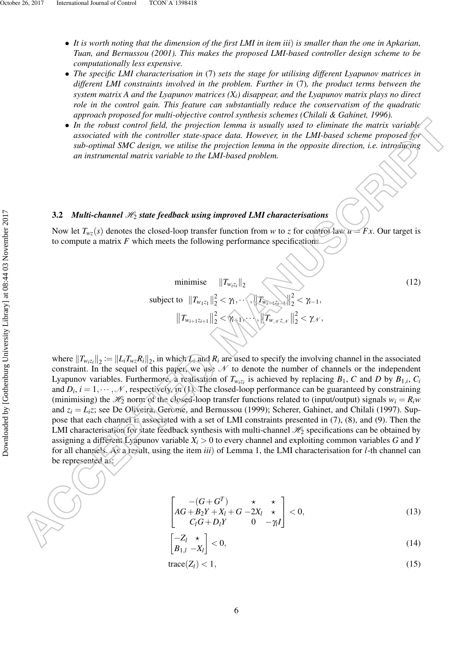- *It is worth noting that the dimension of the first LMI in item iii*) *is smaller than the one in [Apkarian,](#page-16-15) [Tuan, and Bernussou](#page-16-15) [\(2001\)](#page-16-15). This makes the proposed LMI-based controller design scheme to be computationally less expensive.*
- *The specific LMI characterisation in* [\(7\)](#page-5-2) *sets the stage for utilising different Lyapunov matrices in different LMI constraints involved in the problem. Further in* [\(7\)](#page-5-2)*, the product terms between the system matrix A and the Lyapunov matrices (Xi) disappear, and the Lyapunov matrix plays no direct role in the control gain. This feature can substantially reduce the conservatism of the quadratic approach proposed for multi-objective control synthesis schemes [\(Chilali & Gahinet, 1996\)](#page-16-16).*
- *In the robust control field, the projection lemma is usually used to eliminate the matrix variable associated with the controller state-space data. However, in the LMI-based scheme proposed for sub-optimal SMC design, we utilise the projection lemma in the opposite direction, i.e. introducing an instrumental matrix variable to the LMI-based problem.*

## **3.2** *Multi-channel*  $H_2$  *state feedback using improved LMI characterisations*

Now let  $T_{wz}(s)$  denotes the closed-loop transfer function from *w* to *z* for control law  $u = Fx$ . Our target is to compute a matrix *F* which meets the following performance specifications

> minimise k*Twiz<sup>i</sup>*  $\left\|T_{w_iz_i}\right\|_2$

 $\sup_{x_1, y_1 \in \mathbb{R}} \|T_{w_1, z_1}\|_2^2 < \gamma_1, \dots, \widehat{\max_{x_i, y_i \in \mathbb{R}} \|T_{w_i, z_i}}$ 2 <sup>2</sup> < γ*i*−1,  $||T_{w_{i+1}z_{i+1}}||$  $\frac{2}{2} < \gamma_{i+1}, \dots, \|T_{w,v}z_{\mathcal{N}}\|$  $\frac{2}{2} < \gamma_{\mathcal{N}},$  <span id="page-6-1"></span><span id="page-6-0"></span>(12)

where  $||T_{w_iz_i}||_2 = ||L_iT_{wz}R_i||_2$ , in which *L*<sub>*i*</sub> and *R<sub>i</sub>* are used to specify the involving channel in the associated constraint. In the sequel of this paper, we use  $\mathcal N$  to denote the number of channels or the independent Lyapunov variables. Furthermore, a realisation of  $T_{w_iz_i}$  is achieved by replacing  $B_1$ , *C* and *D* by  $B_{1,i}$ ,  $C_i$ and  $D_i$ ,  $i = 1, \dots, N$ , respectively, in [\(1\)](#page-3-1). The closed-loop performance can be guaranteed by constraining (minimising) the  $\mathcal{H}_2$  norm of the closed-loop transfer functions related to (input/output) signals  $w_i = R_i w$ and  $z_i = L_i z$ ; see [De Oliveira, Gerome, and Bernussou](#page-16-17) [\(1999\)](#page-16-17); [Scherer, Gahinet, and Chilali](#page-16-18) [\(1997\)](#page-16-18). Suppose that each channel is associated with a set of LMI constraints presented in [\(7\)](#page-5-2), [\(8\)](#page-5-3), and [\(9\)](#page-5-4). Then the LMI characterisation for state feedback synthesis with multi-channel  $\mathcal{H}_2$  specifications can be obtained by assigning a different Lyapunov variable *X<sup>i</sup>* > 0 to every channel and exploiting common variables *G* and *Y* for all channels. As a result, using the item *iii*) of Lemma [1,](#page-4-2) the LMI characterisation for *l*-th channel can be represented as:

$$
\begin{bmatrix}\n-(G+G^T) & \star & \star \\
AG+B_2Y+X_l+G-2X_l & \star \\
C_lG+D_lY & 0 & -\gamma l\n\end{bmatrix} < 0,\n\tag{13}
$$

<span id="page-6-3"></span><span id="page-6-2"></span>
$$
\begin{bmatrix} -Z_l & \star \\ B_{1,l} & -X_l \end{bmatrix} < 0,\tag{14}
$$

$$
trace(Z_l) < 1,
$$
\n(15)

Downloaded by [Gothenburg University Library] at 08:44 03 November 2017 Downloaded by [Gothenburg University Library] at 08:44 03 November 2017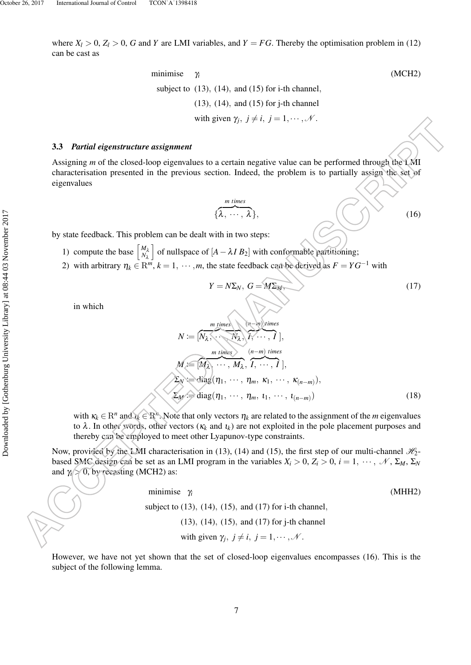where  $X_l > 0$ ,  $Z_l > 0$ , *G* and *Y* are LMI variables, and  $Y = FG$ . Thereby the optimisation problem in [\(12\)](#page-6-0) can be cast as

minimise 
$$
\gamma_i
$$
 (MCH2)  
subject to (13), (14), and (15) for i-th channel,  
(13), (14), and (15) for j-th channel  
with given  $\gamma_j$ ,  $j \neq i$ ,  $j = 1, \dots, \mathcal{N}$ .

#### **3.3** *Partial eigenstructure assignment*

Assigning *m* of the closed-loop eigenvalues to a certain negative value can be performed through the LMI characterisation presented in the previous section. Indeed, the problem is to partially assign the set of eigenvalues

$$
\{ \overbrace{\lambda, \cdots, \lambda}^{m \text{ times}} \}, \qquad (16)
$$

<span id="page-7-2"></span><span id="page-7-1"></span><span id="page-7-0"></span>
$$
(16)
$$

by state feedback. This problem can be dealt with in two steps:

- 1) compute the base  $\begin{bmatrix} M_{\lambda} \\ N_{\lambda} \end{bmatrix}$ *N*λ of nullspace of  $[A - \lambda I B_2]$  with conformable partitioning;
- 2) with arbitrary  $\eta_k \in \mathbb{R}^m$ ,  $k = 1, \dots, m$ , the state feedback can be derived as  $F = YG^{-1}$  with

in which

$$
N := \overbrace{N_{\lambda}, \dots, N_{\lambda}}^{m \text{ times}}, \overbrace{N_{\lambda}, \dots, I}^{(n-m) \text{ times}}],
$$
\n
$$
M := \overbrace{M_{\lambda}, \dots, M_{\lambda}, \dots, I}^{m \text{ times}}, \dots, I, \dots, I),
$$
\n
$$
\Sigma_N := \text{diag}(\eta_1, \dots, \eta_m, \kappa_1, \dots, \kappa_{(n-m)}),
$$
\n
$$
\Sigma_M := \text{diag}(\eta_1, \dots, \eta_m, \iota_1, \dots, \iota_{(n-m)})
$$
\n(18)

 $Y = N\Sigma_N, G = M\Sigma_M,$  (17)

with  $\kappa_k \in \mathbb{R}^n$  and  $\kappa_k \in \mathbb{R}^n$ . Note that only vectors  $\eta_k$  are related to the assignment of the *m* eigenvalues to  $\lambda$ . In other words, other vectors ( $\kappa_k$  and  $\iota_k$ ) are not exploited in the pole placement purposes and thereby can be employed to meet other Lyapunov-type constraints.

Now, provided by the LMI characterisation in [\(13\)](#page-6-1), [\(14\)](#page-6-2) and [\(15\)](#page-6-3), the first step of our multi-channel  $\mathcal{H}_2$ based SMC design can be set as an LMI program in the variables  $X_i > 0$ ,  $Z_i > 0$ ,  $i = 1, \dots, \mathcal{N}$ ,  $\Sigma_M$ ,  $\Sigma_N$ and  $\gamma$ <sup>2</sup>  $\rightarrow$  0, by recasting [\(MCH2\)](#page-7-0) as:

<span id="page-7-3"></span>minimise 
$$
\gamma_i
$$
 (MHH2)  
subject to (13), (14), (15), and (17) for i-th channel,  
(13), (14), (15), and (17) for j-th channel  
with given  $\gamma_j$ ,  $j \neq i$ ,  $j = 1, \dots, \mathcal{N}$ .

However, we have not yet shown that the set of closed-loop eigenvalues encompasses [\(16\)](#page-7-2). This is the subject of the following lemma.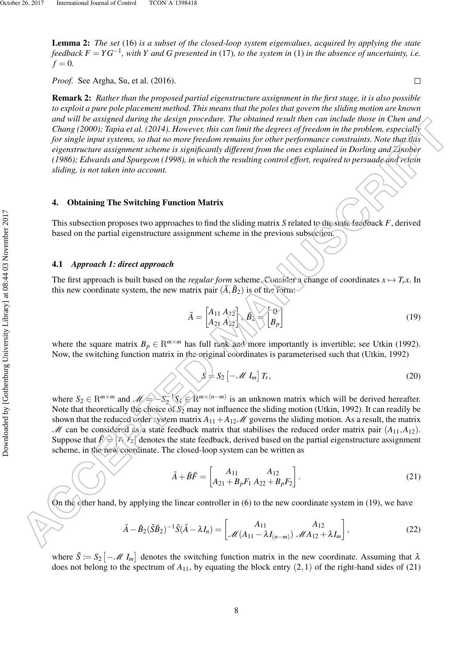**Lemma 2:** *The set* [\(16\)](#page-7-2) *is a subset of the closed-loop system eigenvalues, acquired by applying the state feedback F* = *Y G*−<sup>1</sup> *, with Y and G presented in* [\(17\)](#page-7-1)*, to the system in* [\(1\)](#page-3-1) *in the absence of uncertainty, i.e.*  $f = 0$ .

*Proof.* See [Argha, Su, et al.](#page-16-13) [\(2016\)](#page-16-13).

**Remark 2:** *Rather than the proposed partial eigenstructure assignment in the first stage, it is also possible to exploit a pure pole placement method. This means that the poles that govern the sliding motion are known and will be assigned during the design procedure. The obtained result then can include those in [Chen and](#page-16-11) [Chang](#page-16-11) [\(2000\)](#page-16-11); [Tapia et al.](#page-17-2) [\(2014\)](#page-17-2). However, this can limit the degrees of freedom in the problem, especially for single input systems, so that no more freedom remains for other performance constraints. Note that this eigenstructure assignment scheme is significantly different from the ones explained in [Dorling and Zinober](#page-16-19) [\(1986\)](#page-16-19); [Edwards and Spurgeon](#page-16-2) [\(1998\)](#page-16-2), in which the resulting control effort, required to persuade and retain sliding, is not taken into account.*

#### <span id="page-8-0"></span>**4. Obtaining The Switching Function Matrix**

This subsection proposes two approaches to find the sliding matrix *S* related to the state feedback *F*, derived based on the partial eigenstructure assignment scheme in the previous subsection.

### <span id="page-8-5"></span>**4.1** *Approach 1: direct approach*

The first approach is built based on the *regular form* scheme. Consider a change of coordinates  $x \mapsto T_r x$ . In this new coordinate system, the new matrix pair  $(\tilde{A}, \tilde{B}_2)$  is of the form:

<span id="page-8-1"></span>
$$
\tilde{A} = \begin{bmatrix} A_{11} & A_{12} \\ A_{21} & A_{22} \end{bmatrix}, \tilde{B}_2 = \begin{bmatrix} 0 \\ B_p \end{bmatrix} \tag{19}
$$

where the square matrix  $B_p \in \mathbb{R}^{m \times m}$  has full rank and more importantly is invertible; see [Utkin](#page-17-0) [\(1992\)](#page-17-0). Now, the switching function matrix in the original coordinates is parameterised such that [\(Utkin, 1992\)](#page-17-0)

<span id="page-8-4"></span>
$$
S = S_2 \left[ -\mathcal{M} I_m \right] T_r, \tag{20}
$$

where  $S_2 \in \mathbb{R}^{m \times m}$  and  $M \neq -S_2^{-1} S_1 \in \mathbb{R}^{m \times (n-m)}$  is an unknown matrix which will be derived hereafter. Note that theoretically the choice of  $S_2$  may not influence the sliding motion [\(Utkin, 1992\)](#page-17-0). It can readily be shown that the reduced order system matrix  $A_{11} + A_{12}$  governs the sliding motion. As a result, the matrix M can be considered as a state feedback matrix that stabilises the reduced order matrix pair  $(A_{11}, A_{12})$ . Suppose that  $\tilde{F} \Rightarrow |F_1 F_2|$  denotes the state feedback, derived based on the partial eigenstructure assignment scheme, in the new coordinate. The closed-loop system can be written as

<span id="page-8-3"></span><span id="page-8-2"></span>
$$
\tilde{A} + \tilde{B}\tilde{F} = \begin{bmatrix} A_{11} & A_{12} \\ A_{21} + B_p F_1 A_{22} + B_p F_2 \end{bmatrix}.
$$
 (21)

On the other hand, by applying the linear controller in [\(6\)](#page-4-3) to the new coordinate system in [\(19\)](#page-8-1), we have

$$
\tilde{A} - \tilde{B}_2(\tilde{S}\tilde{B}_2)^{-1}\tilde{S}(\tilde{A} - \lambda I_n) = \begin{bmatrix} A_{11} & A_{12} \\ \mathcal{M}(A_{11} - \lambda I_{(n-m)}) & \mathcal{M}A_{12} + \lambda I_m \end{bmatrix},
$$
\n(22)

where  $\tilde{S} := S_2 \left[ -\mathcal{M} I_m \right]$  denotes the switching function matrix in the new coordinate. Assuming that  $\lambda$ does not belong to the spectrum of  $A_{11}$ , by equating the block entry  $(2,1)$  of the right-hand sides of  $(21)$ 

 $\Box$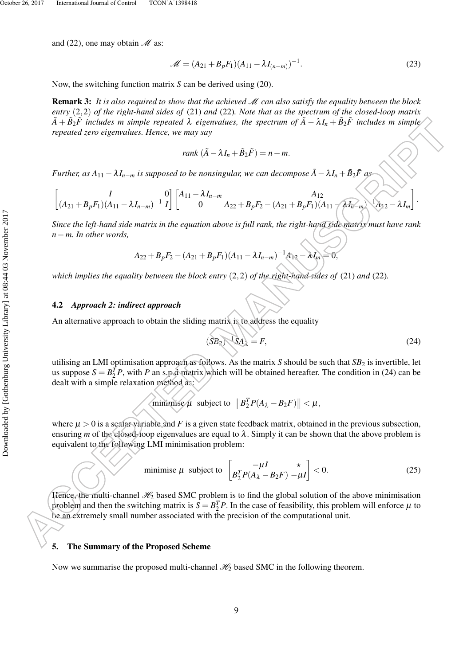and [\(22\)](#page-8-3), one may obtain  $\mathcal M$  as:

$$
\mathcal{M} = (A_{21} + B_p F_1)(A_{11} - \lambda I_{(n-m)})^{-1}.
$$
\n(23)

Now, the switching function matrix *S* can be derived using [\(20\)](#page-8-4).

**Remark 3:** *It is also required to show that the achieved* M *can also satisfy the equality between the block entry* (2,2) *of the right-hand sides of* [\(21\)](#page-8-2) *and* [\(22\)](#page-8-3)*. Note that as the spectrum of the closed-loop matrix*  $\tilde{A} + \tilde{B}_2 \tilde{F}$  includes m simple repeated  $\lambda$  eigenvalues, the spectrum of  $\tilde{A} - \lambda I_n + \tilde{B}_2 \tilde{F}$  includes m simple *repeated zero eigenvalues. Hence, we may say*

rank 
$$
(\tilde{A} - \lambda I_n + \tilde{B}_2 \tilde{F}) = n - m
$$
.

*Further, as*  $A_{11} - \lambda I_{n-m}$  *is supposed to be nonsingular, we can decompose*  $\tilde{A} - \lambda I_n + \tilde{B}_2 \tilde{F}$  as

$$
\begin{bmatrix} I & 0 \ (A_{21} + B_p F_1)(A_{11} - \lambda I_{n-m})^{-1} I \end{bmatrix} \begin{bmatrix} A_{11} - \lambda I_{n-m} & A_{12} \ 0 & A_{22} + B_p F_2 - (A_{21} + B_p F_1)(A_{11} - \lambda I_{n-m})^{-1} A_{12} - \lambda I_m \end{bmatrix}.
$$

*Since the left-hand side matrix in the equation above is full rank, the right-hand side matrix must have rank n*−*m. In other words,*

$$
A_{22} + B_p F_2 - (A_{21} + B_p F_1)(A_{11} - \lambda I_{n-m})^{-1} A_{12} - \lambda I_m = 0,
$$

*which implies the equality between the block entry* (2,2) *of the right-hand sides of* [\(21\)](#page-8-2) *and* [\(22\)](#page-8-3)*.*

#### **4.2** *Approach 2: indirect approach*

An alternative approach to obtain the sliding matrix is to address the equality

<span id="page-9-2"></span><span id="page-9-1"></span>
$$
(SB_2)^{-1}SA_{\lambda} = F,
$$
\n(24)

utilising an LMI optimisation approach as follows. As the matrix *S* should be such that *SB*<sup>2</sup> is invertible, let us suppose  $S = B_2^T P$ , with *P* an s.p.d matrix which will be obtained hereafter. The condition in [\(24\)](#page-9-1) can be dealt with a simple relaxation method as:

minimise  $\mu$  subject to  $||B_2^T P(A_\lambda - B_2 F)|| < \mu$ ,

where  $\mu > 0$  is a scalar variable and *F* is a given state feedback matrix, obtained in the previous subsection, ensuring *m* of the closed-loop eigenvalues are equal to  $\lambda$ . Simply it can be shown that the above problem is equivalent to the following LMI minimisation problem:

minimise 
$$
\mu
$$
 subject to  $\begin{bmatrix} -\mu I & \star \\ B_2^T P(A_\lambda - B_2 F) & -\mu I \end{bmatrix} < 0.$  (25)

Hence, the multi-channel  $\mathcal{H}_2$  based SMC problem is to find the global solution of the above minimisation problem and then the switching matrix is  $S = B_2^T P$ . In the case of feasibility, this problem will enforce  $\mu$  to be an extremely small number associated with the precision of the computational unit.

#### <span id="page-9-0"></span>**5. The Summary of the Proposed Scheme**

Now we summarise the proposed multi-channel  $\mathcal{H}_2$  based SMC in the following theorem.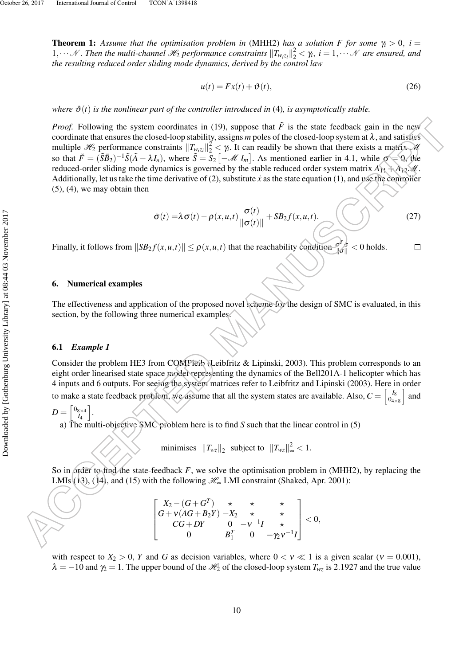**Theorem 1:** Assume that the optimisation problem in [\(MHH2\)](#page-7-3) has a solution F for some  $\gamma_i > 0$ ,  $i =$  $1,\cdots,N$  *. Then the multi-channel*  $\mathcal{H}_2$  *performance constraints*  $||T_{w_iz_i}||_2^2 < \gamma_i$ ,  $i = 1,\cdots,N$  are ensured, and *the resulting reduced order sliding mode dynamics, derived by the control law*

$$
u(t) = Fx(t) + \vartheta(t),\tag{26}
$$

*where*  $\vartheta(t)$  *is the nonlinear part of the controller introduced in* [\(4\)](#page-3-4)*, is asymptotically stable.* 

*Proof.* Following the system coordinates in [\(19\)](#page-8-1), suppose that  $\tilde{F}$  is the state feedback gain in the new coordinate that ensures the closed-loop stability, assigns *m* poles of the closed-loop system at λ, and satisfies multiple  $\mathcal{H}_2$  performance constraints  $||T_{w_1z_1}||_2^2 < \gamma_i$ . It can readily be shown that there exists a matrix M so that  $\tilde{F} = (\tilde{S}\tilde{B}_2)^{-1}\tilde{S}(\tilde{A} - \lambda I_n)$ , where  $\tilde{S} = S_2 \left[ -\mathcal{M} I_m \right]$ . As mentioned earlier in [4.1,](#page-8-5) while  $\sigma = 0$ , the reduced-order sliding mode dynamics is governed by the stable reduced order system matrix *A*<sup>11</sup> +*A*12M. Additionally, let us take the time derivative of [\(2\)](#page-3-5), substitute  $\dot{x}$  as the state equation [\(1\)](#page-3-1), and use the controller  $(5)$ ,  $(4)$ , we may obtain then

$$
\dot{\sigma}(t) = \lambda \sigma(t) - \rho(x, u, t) \frac{\sigma(t)}{\|\sigma(t)\|} + SB_2 f(x, u, t). \tag{27}
$$

Finally, it follows from  $||SB_2 f(x, u, t)|| \le \rho(x, u, t)$  that the reachability condition  $\frac{\sigma^T \phi}{||\sigma||} < 0$  holds.  $\Box$ 

#### <span id="page-10-0"></span>**6. Numerical examples**

The effectiveness and application of the proposed novel scheme for the design of SMC is evaluated, in this section, by the following three numerical examples.

#### **6.1** *Example 1*

Consider the problem HE3 from COMPleib [\(Leibfritz & Lipinski, 2003\)](#page-16-20). This problem corresponds to an eight order linearised state space model representing the dynamics of the Bell201A-1 helicopter which has 4 inputs and 6 outputs. For seeing the system matrices refer to [Leibfritz and Lipinski](#page-16-20) [\(2003\)](#page-16-20). Here in order to make a state feedback problem, we assume that all the system states are available. Also,  $C = \begin{bmatrix} I_8 \\ 0_A \end{bmatrix}$  $0_{4\times8}$ i and

$$
D = \begin{bmatrix} 0_{8 \times 4} \\ I_4 \end{bmatrix}
$$
.  
a) The multi-objective SMC problem here is to find S such that the linear control in (5)

minimises  $||T_{wz}||_2$  subject to  $||T_{wz}||_\infty^2 < 1$ .

So in order to find the state-feedback *F*, we solve the optimisation problem in [\(MHH2\)](#page-7-3), by replacing the LMIs $(13)$ ,  $(14)$ , and  $(15)$  with the following  $\mathcal{H}_{\infty}$  LMI constraint [\(Shaked, Apr. 2001\)](#page-17-5):

$$
\begin{bmatrix} X_2 - (G + G^T) & \star & \star & \star \\ G + v(AG + B_2Y) & -X_2 & \star & \star \\ CG + DY & 0 & -v^{-1}I & \star \\ 0 & B_1^T & 0 & -\gamma_2 v^{-1}I \end{bmatrix} < 0,
$$

with respect to  $X_2 > 0$ , *Y* and *G* as decision variables, where  $0 < v \ll 1$  is a given scalar ( $v = 0.001$ ),  $\lambda = -10$  and  $\gamma_2 = 1$ . The upper bound of the  $\mathcal{H}_2$  of the closed-loop system  $T_{wz}$  is 2.1927 and the true value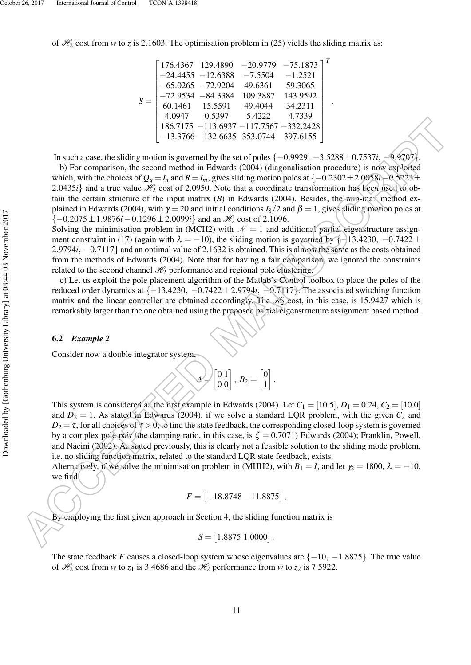of  $\mathcal{H}_2$  cost from *w* to *z* is 2.1603. The optimisation problem in [\(25\)](#page-9-2) yields the sliding matrix as:

$$
S = \begin{bmatrix} 176.4367 & 129.4890 & -20.9779 & -75.1873 \\ -24.4455 & -12.6388 & -7.5504 & -1.2521 \\ -65.0265 & -72.9204 & 49.6361 & 59.3065 \\ -72.9534 & -84.3384 & 109.3887 & 143.9592 \\ 60.1461 & 15.5591 & 49.4044 & 34.2311 \\ 4.0947 & 0.5397 & 5.4222 & 4.7339 \\ 186.7175 & -113.6937 & -117.7567 & -332.2428 \\ -13.3766 & -132.6635 & 353.0744 & 397.6155 \end{bmatrix}^T
$$

.

In such a case, the sliding motion is governed by the set of poles {−0.9929, −3.5288±0.7537*i*, −9.9707}.

b) For comparison, the second method in [Edwards](#page-16-1) [\(2004\)](#page-16-1) (diagonalisation procedure) is now exploited which, with the choices of  $Q_q = I_n$  and  $R = I_m$ , gives sliding motion poles at  $\{-0.2302 \pm 2.0058i - 0.5723 \pm 1.0058i\}$ 2.0435*i*} and a true value  $\mathcal{H}_2$  cost of 2.0950. Note that a coordinate transformation has been used to obtain the certain structure of the input matrix (*B*) in [Edwards](#page-16-1) [\(2004\)](#page-16-1). Besides, the min-max method ex-plained in [Edwards](#page-16-1) [\(2004\)](#page-16-1), with  $\gamma = 20$  and initial conditions  $I_8/2$  and  $\beta = 1$ , gives sliding motion poles at {−0.2075±1.9876*i*−0.1296±2.0099*i*} and an H<sup>2</sup> cost of 2.1096.

Solving the minimisation problem in [\(MCH2\)](#page-7-0) with  $\mathcal{N} = 1$  and additional partial eigenstructure assign-ment constraint in [\(17\)](#page-7-1) (again with  $\lambda = -10$ ), the sliding motion is governed by { $-13.4230, -0.7422 \pm 1.00$ 2.9794*i*, −0.7117} and an optimal value of 2.1632 is obtained. This is almost the same as the costs obtained from the methods of [Edwards](#page-16-1) [\(2004\)](#page-16-1). Note that for having a fair comparison, we ignored the constraints related to the second channel  $\mathcal{H}_2$  performance and regional pole clustering.

c) Let us exploit the pole placement algorithm of the Matlab's Control toolbox to place the poles of the reduced order dynamics at {−13.4230, −0.7422±2.9794*i*, −0.7117}. The associated switching function matrix and the linear controller are obtained accordingly. The  $\mathcal{H}_2$  cost, in this case, is 15.9427 which is remarkably larger than the one obtained using the proposed partial eigenstructure assignment based method.

#### **6.2** *Example 2*

Consider now a double integrator system,

$$
\mathcal{A} = \begin{bmatrix} 0 & 1 \\ 0 & 0 \end{bmatrix}, B_2 = \begin{bmatrix} 0 \\ 1 \end{bmatrix}.
$$

This system is considered as the first example in [Edwards](#page-16-1) [\(2004\)](#page-16-1). Let  $C_1 = [105]$ ,  $D_1 = 0.24$ ,  $C_2 = [100]$ and  $D_2 = 1$ . As stated in [Edwards](#page-16-1) [\(2004\)](#page-16-1), if we solve a standard LQR problem, with the given  $C_2$  and  $D_2 = \tau$ , for all choices of  $\tau > 0$ , to find the state feedback, the corresponding closed-loop system is governed by a complex pole pair (the damping ratio, in this case, is  $\zeta = 0.7071$ ) [Edwards](#page-16-1) [\(2004\)](#page-16-1); [Franklin, Powell,](#page-16-21) [and Naeini](#page-16-21) [\(2002\)](#page-16-21). As stated previously, this is clearly not a feasible solution to the sliding mode problem, i.e. no sliding function matrix, related to the standard LQR state feedback, exists.

Alternatively, if we solve the minimisation problem in [\(MHH2\)](#page-7-3), with  $B_1 = I$ , and let  $\gamma_2 = 1800$ ,  $\lambda = -10$ , we find

$$
F = \begin{bmatrix} -18.8748 & -11.8875 \end{bmatrix},
$$

By employing the first given approach in Section [4,](#page-8-0) the sliding function matrix is

$$
S = [1.8875 \; 1.0000].
$$

The state feedback *F* causes a closed-loop system whose eigenvalues are  $\{-10, -1.8875\}$ . The true value of  $\mathcal{H}_2$  cost from *w* to  $z_1$  is 3.4686 and the  $\mathcal{H}_2$  performance from *w* to  $z_2$  is 7.5922.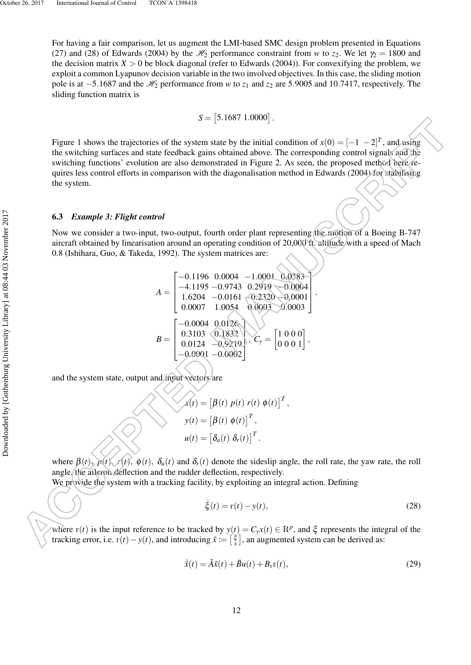For having a fair comparison, let us augment the LMI-based SMC design problem presented in Equations (27) and (28) of [Edwards](#page-16-1) [\(2004\)](#page-16-1) by the  $\mathcal{H}_2$  performance constraint from *w* to *z*<sub>2</sub>. We let  $\gamma_2 = 1800$  and the decision matrix  $X > 0$  be block diagonal (refer to [Edwards](#page-16-1) [\(2004\)](#page-16-1)). For convexifying the problem, we exploit a common Lyapunov decision variable in the two involved objectives. In this case, the sliding motion pole is at −5.1687 and the  $\mathcal{H}_2$  performance from *w* to  $z_1$  and  $z_2$  are 5.9005 and 10.7417, respectively. The sliding function matrix is

$$
S = [5.1687 1.0000].
$$

Figure [1](#page-18-0) shows the trajectories of the system state by the initial condition of  $x(0) = [-1 \ -2]^T$ , and using the switching surfaces and state feedback gains obtained above. The corresponding control signals and the switching functions' evolution are also demonstrated in Figure [2.](#page-19-0) As seen, the proposed method here requires less control efforts in comparison with the diagonalisation method in [Edwards](#page-16-1) [\(2004\)](#page-16-1) for stabilising the system.

# **6.3** *Example 3: Flight control*

Now we consider a two-input, two-output, fourth order plant representing the motion of a Boeing B-747 aircraft obtained by linearisation around an operating condition of 20,000 ft. altitude with a speed of Mach 0.8 [\(Ishihara, Guo, & Takeda, 1992\)](#page-16-22). The system matrices are:

$$
A = \begin{bmatrix} -0.1196 & 0.0004 & -1.0001 & 0.0383 \\ -4.1195 & -0.9743 & 0.2919 & -0.0004 \\ 1.6204 & -0.0161 & -0.2320 & -0.0001 \\ 0.0007 & 1.0054 & 0.0093 & 0.0003 \end{bmatrix},
$$

$$
B = \begin{bmatrix} -0.0004 & 0.0126 \\ 0.3103 & 0.1832 \\ 0.0124 & -0.9219 \\ -0.0001 & -0.0002 \end{bmatrix}, C_y = \begin{bmatrix} 1 & 0 & 0 & 0 \\ 0 & 0 & 0 & 1 \\ 0 & 0 & 0 & 1 \end{bmatrix},
$$

and the system state, output and input vectors are

$$
\mathcal{K}(t) = [\beta(t) \ p(t) \ r(t) \ \phi(t)]^T,
$$

$$
y(t) = [\beta(t) \ \phi(t)]^T,
$$

$$
u(t) = [\delta_a(t) \ \delta_r(t)]^T.
$$

where  $\beta(t)$ ,  $p(t)$ ,  $r(t)$ ,  $\phi(t)$ ,  $\delta_a(t)$  and  $\delta_r(t)$  denote the sideslip angle, the roll rate, the yaw rate, the roll angle, the aileron deflection and the rudder deflection, respectively.

We provide the system with a tracking facility, by exploiting an integral action. Defining

$$
\dot{\xi}(t) = \mathbf{r}(t) - \mathbf{y}(t),\tag{28}
$$

where  $r(t)$  is the input reference to be tracked by  $y(t) = C_y x(t) \in \mathbb{R}^p$ , and  $\xi$  represents the integral of the tracking error, i.e.  $r(t) - y(t)$ , and introducing  $\tilde{x} := \begin{bmatrix} \xi \\ x \end{bmatrix}$ , an augmented system can be derived as:

$$
\dot{\tilde{x}}(t) = \tilde{A}\tilde{x}(t) + \tilde{B}u(t) + B_{\rm r}(\tilde{x}),
$$
\n(29)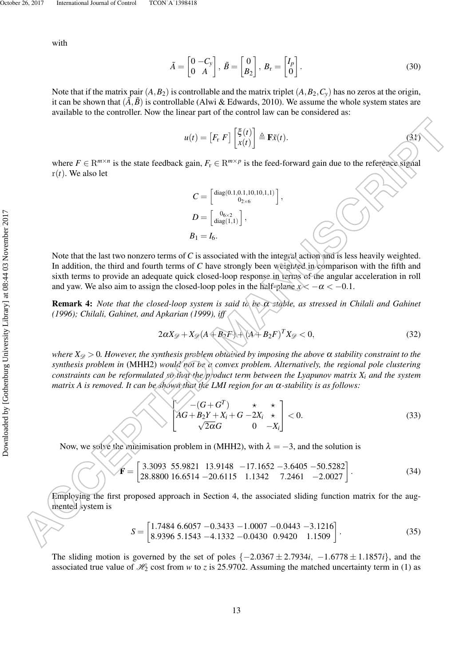$$
\tilde{A} = \begin{bmatrix} 0 & -C_{y} \\ 0 & A \end{bmatrix}, \ \tilde{B} = \begin{bmatrix} 0 \\ B_{2} \end{bmatrix}, \ B_{r} = \begin{bmatrix} I_{p} \\ 0 \end{bmatrix}.
$$
\n(30)

Note that if the matrix pair  $(A, B_2)$  is controllable and the matrix triplet  $(A, B_2, C_v)$  has no zeros at the origin, it can be shown that  $(\tilde{A}, \tilde{B})$  is controllable [\(Alwi & Edwards, 2010\)](#page-16-23). We assume the whole system states are available to the controller. Now the linear part of the control law can be considered as:

$$
u(t) = \left[F_{\rm r} \ F\right] \begin{bmatrix} \xi(t) \\ x(t) \end{bmatrix} \triangleq \mathbf{F}\tilde{x}(t). \tag{31}
$$

where  $F \in \mathbb{R}^{m \times n}$  is the state feedback gain,  $F_r \in \mathbb{R}^{m \times p}$  is the feed-forward gain due to the reference signal r(*t*). We also let

$$
C = \begin{bmatrix} \text{diag}(0.1, 0.1, 10, 10, 1, 1) \\ 0_{2 \times 6} \end{bmatrix},
$$
  
\n
$$
D = \begin{bmatrix} 0_{6 \times 2} \\ \text{diag}(1, 1) \end{bmatrix},
$$
  
\n
$$
B_1 = I_6.
$$

Note that the last two nonzero terms of *C* is associated with the integral action and is less heavily weighted. In addition, the third and fourth terms of *C* have strongly been weighted in comparison with the fifth and sixth terms to provide an adequate quick closed-loop response in terms of the angular acceleration in roll and yaw. We also aim to assign the closed-loop poles in the half-plane  $x < -\alpha < -0.1$ .

**Remark 4:** *Note that the closed-loop system is said to be* α *stable, as stressed in [Chilali and Gahinet](#page-16-16) [\(1996\)](#page-16-16); [Chilali, Gahinet, and Apkarian](#page-16-24) [\(1999\)](#page-16-24), iff*

$$
2\alpha X_{\mathscr{D}} + X_{\mathscr{D}}(A + B_2F) + (A + B_2F)^T X_{\mathscr{D}} < 0,\tag{32}
$$

*where*  $X_{\mathcal{D}} > 0$ *. However, the synthesis problem obtained by imposing the above*  $\alpha$  *stability constraint to the synthesis problem in* [\(MHH2\)](#page-7-3) *would not be a convex problem. Alternatively, the regional pole clustering constraints can be reformulated so that the product term between the Lyapunov matrix X<sup>i</sup> and the system matrix A is removed. It can be shown that the LMI region for an* α*-stability is as follows:*

<span id="page-13-0"></span>
$$
\begin{bmatrix}\n-(G+G^T) & \star & \star \\
AG+B_2Y+X_i+G-2X_i & \star \\
\sqrt{2\alpha}G & 0 & -X_i\n\end{bmatrix} < 0.
$$
\n(33)

Now, we solve the minimisation problem in [\(MHH2\)](#page-7-3), with  $\lambda = -3$ , and the solution is

$$
\mathbf{F} = \begin{bmatrix} 3.3093 & 55.9821 & 13.9148 & -17.1652 & -3.6405 & -50.5282 \\ 28.8800 & 16.6514 & -20.6115 & 1.1342 & 7.2461 & -2.0027 \end{bmatrix} . \tag{34}
$$

Employing the first proposed approach in Section [4,](#page-8-0) the associated sliding function matrix for the augmented system is

<span id="page-13-1"></span>
$$
S = \begin{bmatrix} 1.7484 & 6.6057 & -0.3433 & -1.0007 & -0.0443 & -3.1216 \\ 8.9396 & 5.1543 & -4.1332 & -0.0430 & 0.9420 & 1.1509 \end{bmatrix}.
$$
 (35)

The sliding motion is governed by the set of poles  $\{-2.0367 \pm 2.7934i, -1.6778 \pm 1.1857i\}$ , and the associated true value of  $\mathcal{H}_2$  cost from *w* to *z* is 25.9702. Assuming the matched uncertainty term in [\(1\)](#page-3-1) as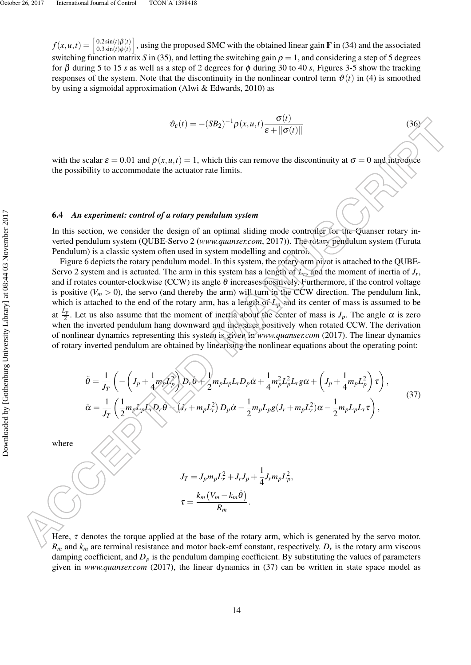$f(x, u, t) = \begin{bmatrix} 0.2 \sin(t) \beta(t) \\ 0.3 \sin(t) \phi(t) \end{bmatrix}$  $0.3\sin(t)\phi(t)$ , using the proposed SMC with the obtained linear gain **F** in [\(34\)](#page-13-0) and the associated switching function matrix *S* in [\(35\)](#page-13-1), and letting the switching gain  $\rho = 1$ , and considering a step of 5 degrees for β during 5 to 15 *s* as well as a step of 2 degrees for φ during 30 to 40 *s*, Figures [3-](#page-20-0)[5](#page-22-0) show the tracking responses of the system. Note that the discontinuity in the nonlinear control term  $\vartheta(t)$  in [\(4\)](#page-3-4) is smoothed by using a sigmoidal approximation [\(Alwi & Edwards, 2010\)](#page-16-23) as

$$
\vartheta_{\varepsilon}(t) = -(SB_2)^{-1} \rho(x, u, t) \frac{\sigma(t)}{\varepsilon + ||\sigma(t)||}
$$

<span id="page-14-1"></span>(36)

with the scalar  $\varepsilon = 0.01$  and  $\rho(x, u, t) = 1$ , which this can remove the discontinuity at  $\sigma = 0$  and introduce the possibility to accommodate the actuator rate limits.

#### **6.4** *An experiment: control of a rotary pendulum system*

In this section, we consider the design of an optimal sliding mode controller for the Quanser rotary inverted pendulum system (QUBE-Servo 2 (*[www.quanser.com](#page-17-6)*, [2017\)](#page-17-6)). The rotary pendulum system (Furuta Pendulum) is a classic system often used in system modelling and control.

Figure [6](#page-23-0) depicts the rotary pendulum model. In this system, the rotary arm pivot is attached to the QUBE-Servo 2 system and is actuated. The arm in this system has a length of  $L_r$ , and the moment of inertia of  $J_r$ , and if rotates counter-clockwise (CCW) its angle  $\theta$  increases positively. Furthermore, if the control voltage is positive  $(V_m > 0)$ , the servo (and thereby the arm) will turn in the CCW direction. The pendulum link, which is attached to the end of the rotary arm, has a length of  $L_p$  and its center of mass is assumed to be at  $\frac{L_p}{2}$ . Let us also assume that the moment of inertia about the center of mass is  $J_p$ . The angle  $\alpha$  is zero  $\frac{2}{2}$ . Ext as also assume that the moment of metha about the center of mass is  $\sigma_p$ . The algie  $\alpha$  is zero when the inverted pendulum hang downward and increases positively when rotated CCW. The derivation of nonlinear dynamics representing this system is given in *[www.quanser.com](#page-17-6)* [\(2017\)](#page-17-6). The linear dynamics of rotary inverted pendulum are obtained by linearising the nonlinear equations about the operating point:

<span id="page-14-0"></span>
$$
\ddot{\theta} = \frac{1}{J_T} \left( -\left( J_p + \frac{1}{4} m_p L_p^2 \right) D_r \dot{\theta} + \frac{1}{2} m_p L_p L_r D_p \dot{\alpha} + \frac{1}{4} m_p^2 L_p^2 L_r g \alpha + \left( J_p + \frac{1}{4} m_p L_p^2 \right) \tau \right),
$$
\n
$$
\ddot{\alpha} = \frac{1}{J_T} \left( \frac{1}{2} m_p L_p L_r D_r \dot{\theta} - \left( J_r + m_p L_r^2 \right) D_p \dot{\alpha} - \frac{1}{2} m_p L_p g (J_r + m_p L_r^2) \alpha - \frac{1}{2} m_p L_p L_r \tau \right),
$$
\n(37)

where

$$
J_T = J_p m_p L_r^2 + J_r J_p + \frac{1}{4} J_r m_p L_p^2,
$$
  

$$
\tau = \frac{k_m (V_m - k_m \dot{\theta})}{R_m}.
$$

Here,  $\tau$  denotes the torque applied at the base of the rotary arm, which is generated by the servo motor.  $R_m$  and  $k_m$  are terminal resistance and motor back-emf constant, respectively.  $D_r$  is the rotary arm viscous damping coefficient, and  $D_p$  is the pendulum damping coefficient. By substituting the values of parameters given in *[www.quanser.com](#page-17-6)* [\(2017\)](#page-17-6), the linear dynamics in [\(37\)](#page-14-0) can be written in state space model as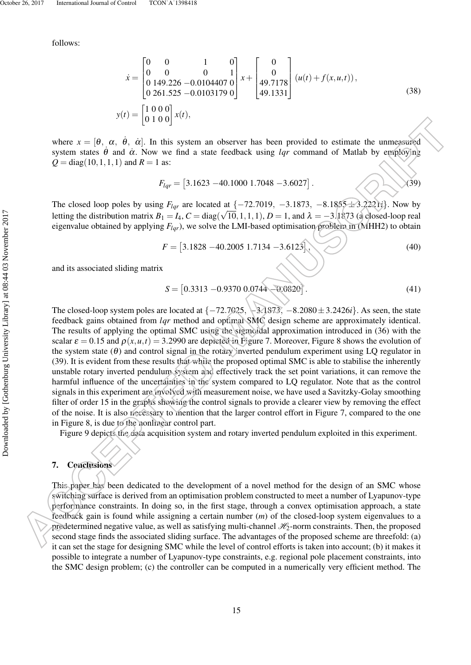follows:

$$
\dot{x} = \begin{bmatrix} 0 & 0 & 1 & 0 \\ 0 & 0 & 0 & 1 \\ 0 & 149.226 & -0.0104407 & 0 \\ 0 & 261.525 & -0.0103179 & 0 \end{bmatrix} x + \begin{bmatrix} 0 \\ 0 \\ 49.7178 \\ 49.1331 \end{bmatrix} (u(t) + f(x, u, t)),
$$
\n
$$
y(t) = \begin{bmatrix} 1 & 0 & 0 \\ 0 & 1 & 0 \end{bmatrix} x(t),
$$
\n(38)

where  $x = [\theta, \alpha, \dot{\theta}, \dot{\alpha}]$ . In this system an observer has been provided to estimate the unmeasured system states  $\dot{\theta}$  and  $\dot{\alpha}$ . Now we find a state feedback using *lqr* command of Matlab by employing  $Q = diag(10, 1, 1, 1)$  and  $R = 1$  as:

<span id="page-15-1"></span>
$$
F_{lqr} = [3.1623 - 40.1000 1.7048 - 3.6027]. \tag{39}
$$

The closed loop poles by using  $F_{lqr}$  are located at  $\{-72.7019, -3.1873, -8.1855 \pm 3.2221i\}$ . Now by letting the distribution matrix  $B_1 = I_4$ ,  $C = diag(\sqrt{10}, 1, 1, 1)$ ,  $D = 1$ , and  $\lambda = -3.1873$  (a closed-loop real eigenvalue obtained by applying *Flqr*), we solve the LMI-based optimisation problem in [\(MHH2\)](#page-7-3) to obtain

$$
F = [3.1828 - 40.2005 1.7134 - 3.6123], \qquad (40)
$$

and its associated sliding matrix

$$
S = [0.3313 - 0.9370 0.0744 - 0.0820].
$$
\n(41)

The closed-loop system poles are located at  $\{-72.7025, \, \{-3.1873, \, -8.2080 \pm 3.2426i\}.$  As seen, the state feedback gains obtained from *lqr* method and optimal SMC design scheme are approximately identical. The results of applying the optimal SMC using the sigmoidal approximation introduced in [\(36\)](#page-14-1) with the scalar  $\varepsilon = 0.15$  and  $\rho(x, u, t) = 3.2990$  are depicted in Figure [7.](#page-24-0) Moreover, Figure [8](#page-25-0) shows the evolution of the system state  $(\theta)$  and control signal in the rotary inverted pendulum experiment using LQ regulator in [\(39\)](#page-15-1). It is evident from these results that while the proposed optimal SMC is able to stabilise the inherently unstable rotary inverted pendulum system and effectively track the set point variations, it can remove the harmful influence of the uncertainties in the system compared to LQ regulator. Note that as the control signals in this experiment are involved with measurement noise, we have used a Savitzky-Golay smoothing filter of order 15 in the graphs showing the control signals to provide a clearer view by removing the effect of the noise. It is also necessary to mention that the larger control effort in Figure [7,](#page-24-0) compared to the one in Figure [8,](#page-25-0) is due to the nonlinear control part.

Figure [9](#page-26-0) depicts the data acquisition system and rotary inverted pendulum exploited in this experiment.

# <span id="page-15-0"></span>**7. Conclusions**

This paper has been dedicated to the development of a novel method for the design of an SMC whose switching surface is derived from an optimisation problem constructed to meet a number of Lyapunov-type performance constraints. In doing so, in the first stage, through a convex optimisation approach, a state feedback gain is found while assigning a certain number (*m*) of the closed-loop system eigenvalues to a predetermined negative value, as well as satisfying multi-channel  $\mathcal{H}_2$ -norm constraints. Then, the proposed second stage finds the associated sliding surface. The advantages of the proposed scheme are threefold: (a) it can set the stage for designing SMC while the level of control efforts is taken into account; (b) it makes it possible to integrate a number of Lyapunov-type constraints, e.g. regional pole placement constraints, into the SMC design problem; (c) the controller can be computed in a numerically very efficient method. The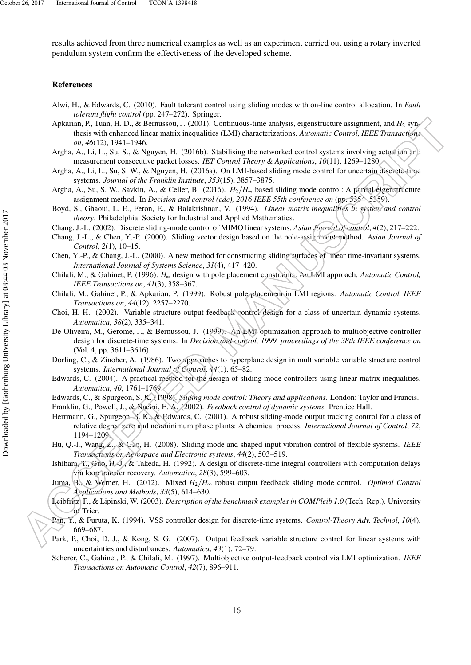results achieved from three numerical examples as well as an experiment carried out using a rotary inverted pendulum system confirm the effectiveness of the developed scheme.

#### **References**

- <span id="page-16-23"></span>Alwi, H., & Edwards, C. (2010). Fault tolerant control using sliding modes with on-line control allocation. In *Fault tolerant flight control* (pp. 247–272). Springer.
- <span id="page-16-15"></span>Apkarian, P., Tuan, H. D., & Bernussou, J. (2001). Continuous-time analysis, eigenstructure assignment, and *H*<sub>2</sub> synthesis with enhanced linear matrix inequalities (LMI) characterizations. *Automatic Control, IEEE Transactions on*, *46*(12), 1941–1946.
- <span id="page-16-0"></span>Argha, A., Li, L., Su, S., & Nguyen, H. (2016b). Stabilising the networked control systems involving actuation and measurement consecutive packet losses. *IET Control Theory & Applications*, *10*(11), 1269–1280.
- <span id="page-16-5"></span>Argha, A., Li, L., Su, S. W., & Nguyen, H. (2016a). On LMI-based sliding mode control for uncertain discrete-time systems. *Journal of the Franklin Institute*, *353*(15), 3857–3875.
- <span id="page-16-13"></span>Argha, A., Su, S. W., Savkin, A., & Celler, B. (2016). *H*2/*H*<sup>∞</sup> based sliding mode control: A partial eigenstructure assignment method. In *Decision and control (cdc), 2016 IEEE 55th conference on* (pp. 5354–5359).
- <span id="page-16-14"></span>Boyd, S., Ghaoui, L. E., Feron, E., & Balakrishnan, V. (1994). *Linear matrix inequalities in system and control theory*. Philadelphia: Society for Industrial and Applied Mathematics.
- <span id="page-16-10"></span><span id="page-16-9"></span>Chang, J.-L. (2002). Discrete sliding-mode control of MIMO linear systems. *Asian Journal of control*, *4*(2), 217–222.
- Chang, J.-L., & Chen, Y.-P. (2000). Sliding vector design based on the pole-assignment method. *Asian Journal of Control*, *2*(1), 10–15.
- <span id="page-16-11"></span>Chen, Y.-P., & Chang, J.-L. (2000). A new method for constructing sliding surfaces of linear time-invariant systems. *International Journal of Systems Science*, *31*(4), 417–420.
- <span id="page-16-16"></span>Chilali, M., & Gahinet, P. (1996). *H*<sup>∞</sup> design with pole placement constraints: An LMI approach. *Automatic Control, IEEE Transactions on*, *41*(3), 358–367.
- <span id="page-16-24"></span>Chilali, M., Gahinet, P., & Apkarian, P. (1999). Robust pole placement in LMI regions. *Automatic Control, IEEE Transactions on*, *44*(12), 2257–2270.
- <span id="page-16-6"></span>Choi, H. H. (2002). Variable structure output feedback control design for a class of uncertain dynamic systems. *Automatica*, *38*(2), 335–341.
- <span id="page-16-17"></span>De Oliveira, M., Gerome, J., & Bernussou, J. (1999). An LMI optimization approach to multiobjective controller design for discrete-time systems. In *Decision and control, 1999. proceedings of the 38th IEEE conference on* (Vol. 4, pp. 3611–3616).
- <span id="page-16-19"></span>Dorling, C., & Zinober, A. (1986). Two approaches to hyperplane design in multivariable variable structure control systems. *International Journal of Control*, *44*(1), 65–82.
- <span id="page-16-1"></span>Edwards, C. (2004). A practical method for the design of sliding mode controllers using linear matrix inequalities. *Automatica*, *40*, 1761–1769.
- <span id="page-16-2"></span>Edwards, C., & Spurgeon, S. K. (1998). *Sliding mode control: Theory and applications*. London: Taylor and Francis.
- <span id="page-16-21"></span><span id="page-16-3"></span>Franklin, G., Powell, J., & Naeini, E. A. (2002). *Feedback control of dynamic systems*. Prentice Hall.
- Herrmann, G., Spurgeon, S. K., & Edwards, C. (2001). A robust sliding-mode output tracking control for a class of relative degree zero and nonminimum phase plants: A chemical process. *International Journal of Control*, *72*, 1194–1209.
- <span id="page-16-4"></span>Hu, Q.-l., Wang, Z., & Gao, H. (2008). Sliding mode and shaped input vibration control of flexible systems. *IEEE Transactions on Aerospace and Electronic systems*, *44*(2), 503–519.
- <span id="page-16-22"></span>Ishihara, T., Guo, H.-J., & Takeda, H. (1992). A design of discrete-time integral controllers with computation delays via loop transfer recovery. *Automatica*, *28*(3), 599–603.
- <span id="page-16-12"></span>Juma, B., & Werner, H. (2012). Mixed *H*2/*H*<sup>∞</sup> robust output feedback sliding mode control. *Optimal Control Applications and Methods*, *33*(5), 614–630.
- <span id="page-16-20"></span>Leibfritz, F., & Lipinski, W. (2003). *Description of the benchmark examples in COMPleib 1.0* (Tech. Rep.). University of Trier.
- <span id="page-16-8"></span>Pan, Y., & Furuta, K. (1994). VSS controller design for discrete-time systems. *Control-Theory Adv. Technol*, *10*(4), 669–687.
- <span id="page-16-7"></span>Park, P., Choi, D. J., & Kong, S. G. (2007). Output feedback variable structure control for linear systems with uncertainties and disturbances. *Automatica*, *43*(1), 72–79.
- <span id="page-16-18"></span>Scherer, C., Gahinet, P., & Chilali, M. (1997). Multiobjective output-feedback control via LMI optimization. *IEEE Transactions on Automatic Control*, *42*(7), 896–911.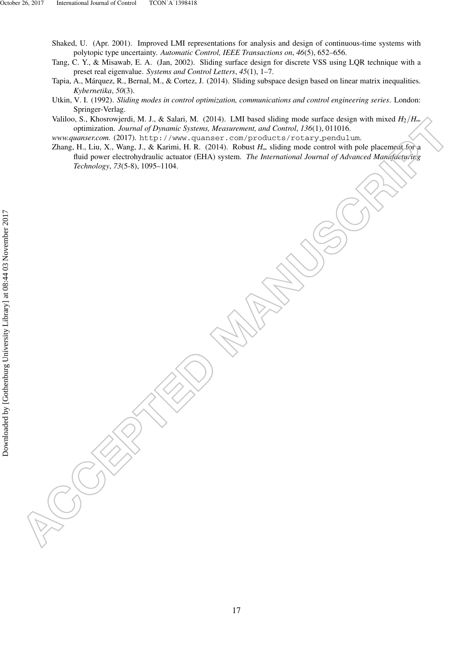- <span id="page-17-5"></span>Shaked, U. (Apr. 2001). Improved LMI representations for analysis and design of continuous-time systems with polytopic type uncertainty. *Automatic Control, IEEE Transactions on*, *46*(5), 652–656.
- <span id="page-17-1"></span>Tang, C. Y., & Misawab, E. A. (Jan, 2002). Sliding surface design for discrete VSS using LQR technique with a preset real eigenvalue. *Systems and Control Letters*, *45*(1), 1–7.
- <span id="page-17-2"></span>Tapia, A., Márquez, R., Bernal, M., & Cortez, J. (2014). Sliding subspace design based on linear matrix inequalities. *Kybernetika*, *50*(3).
- <span id="page-17-0"></span>Utkin, V. I. (1992). *Sliding modes in control optimization, communications and control engineering series*. London: Springer-Verlag.
- <span id="page-17-3"></span>Valiloo, S., Khosrowjerdi, M. J., & Salari, M. (2014). LMI based sliding mode surface design with mixed  $H_2/H_{\infty}$ optimization. *Journal of Dynamic Systems, Measurement, and Control*, *136*(1), 011016.
- <span id="page-17-6"></span>*www.quanser.com.* (2017). [http://www.quanser.com/products/rotary](http://www.quanser.com/products/rotary_pendulum) pendulum.
- <span id="page-17-4"></span>Zhang, H., Liu, X., Wang, J., & Karimi, H. R. (2014). Robust *H*<sup>∞</sup> sliding mode control with pole placement for a fluid power electrohydraulic actuator (EHA) system. *The International Journal of Advanced Manufacturing Technology*, *73*(5-8), 1095–1104.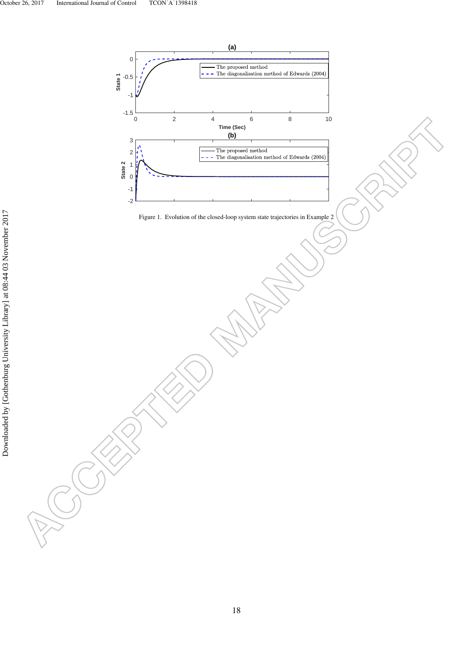<span id="page-18-0"></span>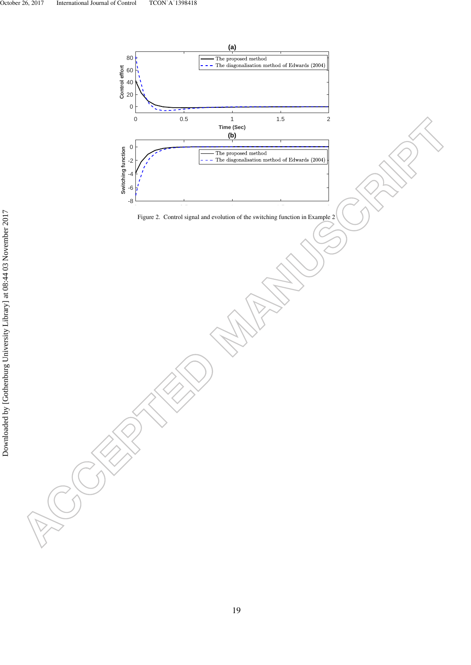

<span id="page-19-0"></span>Figure 2. Control signal and evolution of the switching function in Example 2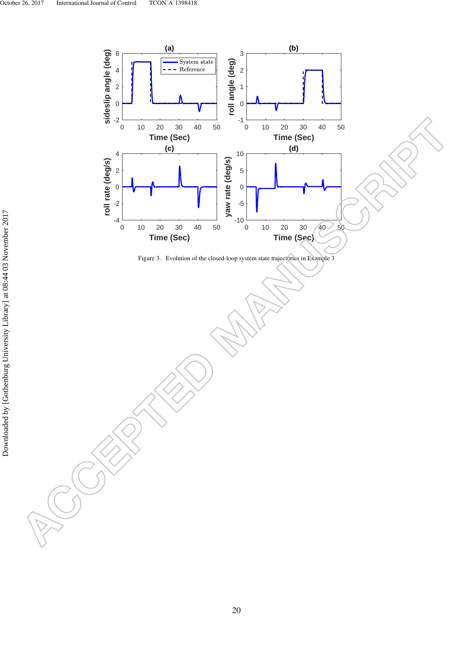

<span id="page-20-0"></span>

Downloaded by [Gothenburg University Library] at 08:44 03 November 2017 Downloaded by [Gothenburg University Library] at 08:44 03 November 2017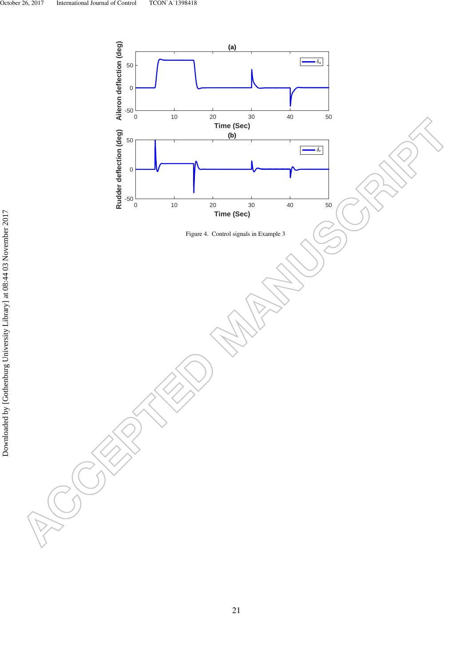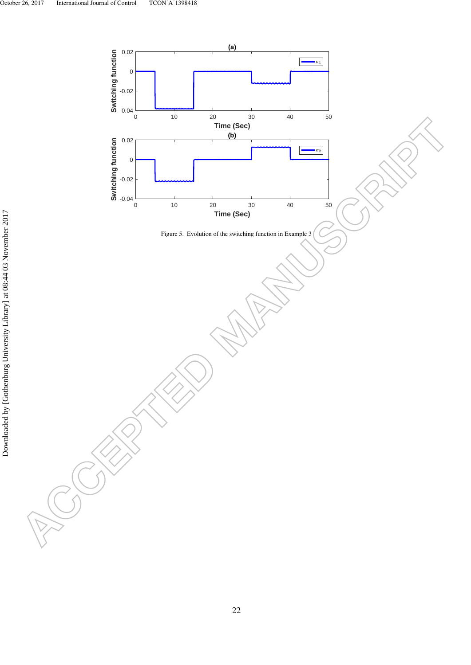<span id="page-22-0"></span>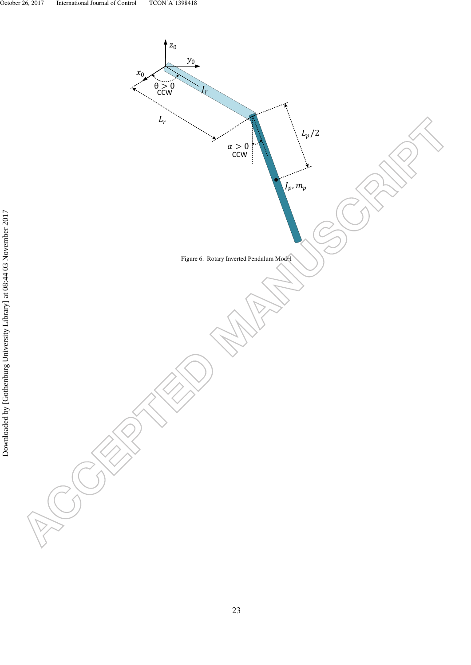<span id="page-23-0"></span>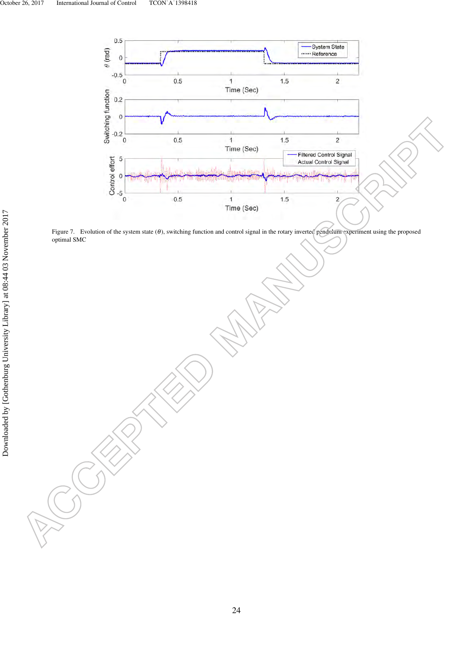

<span id="page-24-0"></span>Figure 7. Evolution of the system state  $(\theta)$ , switching function and control signal in the rotary inverted pendulum experiment using the proposed optimal SMC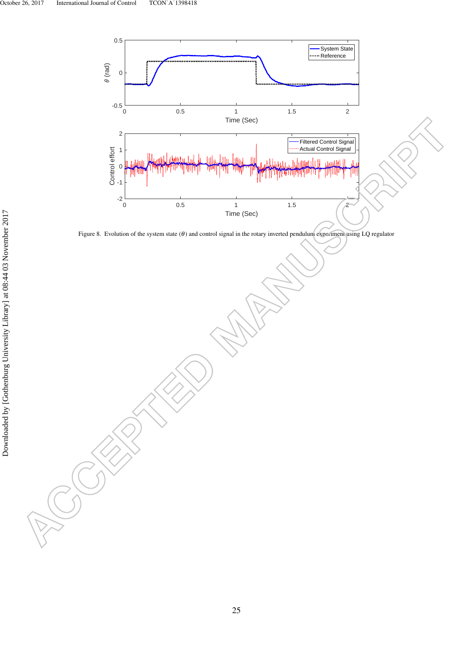

<span id="page-25-0"></span>Figure 8. Evolution of the system state (θ) and control signal in the rotary inverted pendulum experiment using LQ regulator